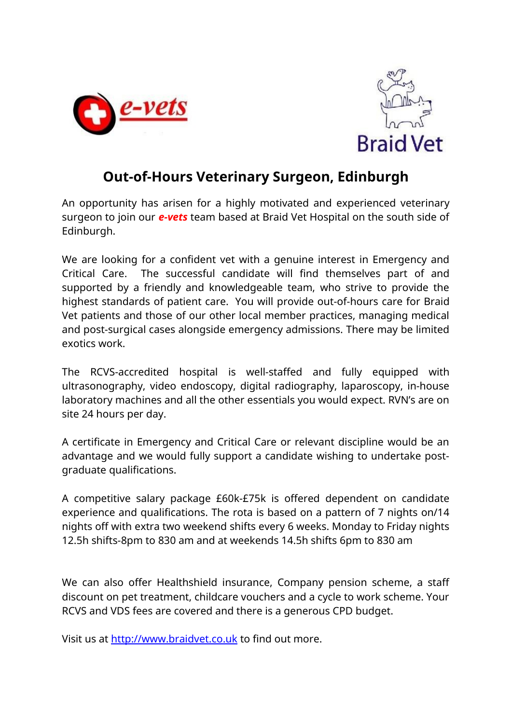



## **Out-of-Hours Veterinary Surgeon, Edinburgh**

An opportunity has arisen for a highly motivated and experienced veterinary surgeon to join our *e-vets* team based at Braid Vet Hospital on the south side of Edinburgh.

We are looking for a confident vet with a genuine interest in Emergency and Critical Care. The successful candidate will find themselves part of and supported by a friendly and knowledgeable team, who strive to provide the highest standards of patient care. You will provide out-of-hours care for Braid Vet patients and those of our other local member practices, managing medical and post-surgical cases alongside emergency admissions. There may be limited exotics work.

The RCVS-accredited hospital is well-staffed and fully equipped with ultrasonography, video endoscopy, digital radiography, laparoscopy, in-house laboratory machines and all the other essentials you would expect. RVN's are on site 24 hours per day.

A certificate in Emergency and Critical Care or relevant discipline would be an advantage and we would fully support a candidate wishing to undertake postgraduate qualifications.

A competitive salary package £60k-£75k is offered dependent on candidate experience and qualifications. The rota is based on a pattern of 7 nights on/14 nights off with extra two weekend shifts every 6 weeks. Monday to Friday nights 12.5h shifts-8pm to 830 am and at weekends 14.5h shifts 6pm to 830 am

We can also offer Healthshield insurance, Company pension scheme, a staff discount on pet treatment, childcare vouchers and a cycle to work scheme. Your RCVS and VDS fees are covered and there is a generous CPD budget.

Visit us at http://www.braidvet.co.uk to find out more.